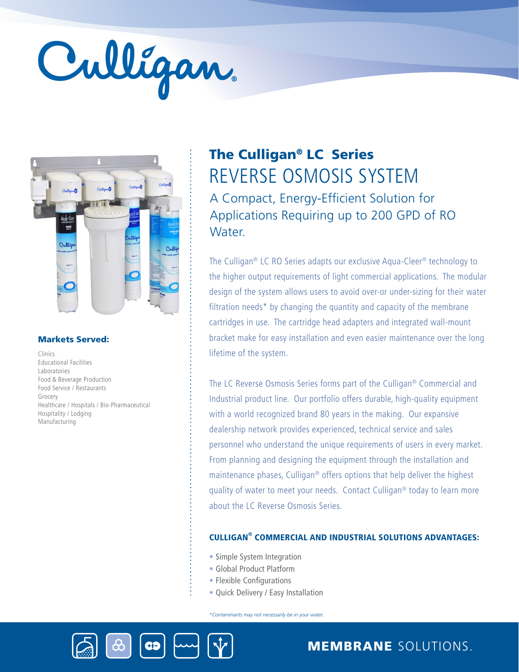# Culligan



#### Markets Served:

Clinics Educational Facilities Laboratories Food & Beverage Production Food Service / Restaurants Grocery Healthcare / Hospitals / Bio-Pharmaceutical Hospitality / Lodging Manufacturing

## REVERSE OSMOSIS SYSTEM The Culligan® LC Series A Compact, Energy-Efficient Solution for Applications Requiring up to 200 GPD of RO Water.

The Culligan® LC RO Series adapts our exclusive Aqua-Cleer® technology to the higher output requirements of light commercial applications. The modular design of the system allows users to avoid over-or under-sizing for their water filtration needs\* by changing the quantity and capacity of the membrane cartridges in use. The cartridge head adapters and integrated wall-mount bracket make for easy installation and even easier maintenance over the long lifetime of the system.

The LC Reverse Osmosis Series forms part of the Culligan® Commercial and Industrial product line. Our portfolio offers durable, high-quality equipment with a world recognized brand 80 years in the making. Our expansive dealership network provides experienced, technical service and sales personnel who understand the unique requirements of users in every market. From planning and designing the equipment through the installation and maintenance phases, Culligan® offers options that help deliver the highest quality of water to meet your needs. Contact Culligan® today to learn more about the LC Reverse Osmosis Series.

#### CULLIGAN® COMMERCIAL AND INDUSTRIAL SOLUTIONS ADVANTAGES:

- Simple System Integration
- Global Product Platform
- Flexible Configurations
- Quick Delivery / Easy Installation

*\*Contaminants may not necessarily be in your water.*





## MEMBRANE SOLUTIONS.